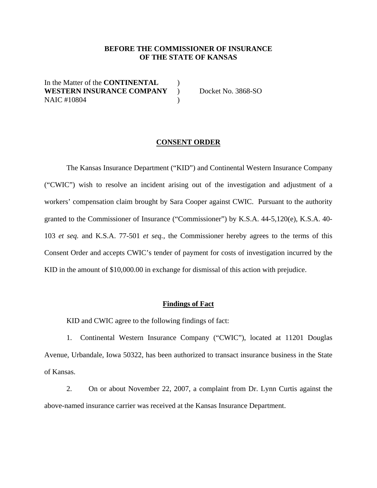#### **BEFORE THE COMMISSIONER OF INSURANCE OF THE STATE OF KANSAS**

In the Matter of the **CONTINENTAL**  $\qquad$ **WESTERN INSURANCE COMPANY** ) Docket No. 3868-SO NAIC #10804 (1992)

#### **CONSENT ORDER**

The Kansas Insurance Department ("KID") and Continental Western Insurance Company ("CWIC") wish to resolve an incident arising out of the investigation and adjustment of a workers' compensation claim brought by Sara Cooper against CWIC. Pursuant to the authority granted to the Commissioner of Insurance ("Commissioner") by K.S.A. 44-5,120(e), K.S.A. 40- 103 *et seq.* and K.S.A. 77-501 *et seq.,* the Commissioner hereby agrees to the terms of this Consent Order and accepts CWIC's tender of payment for costs of investigation incurred by the KID in the amount of \$10,000.00 in exchange for dismissal of this action with prejudice.

#### **Findings of Fact**

KID and CWIC agree to the following findings of fact:

 1. Continental Western Insurance Company ("CWIC"), located at 11201 Douglas Avenue, Urbandale, Iowa 50322, has been authorized to transact insurance business in the State of Kansas.

2. On or about November 22, 2007, a complaint from Dr. Lynn Curtis against the above-named insurance carrier was received at the Kansas Insurance Department.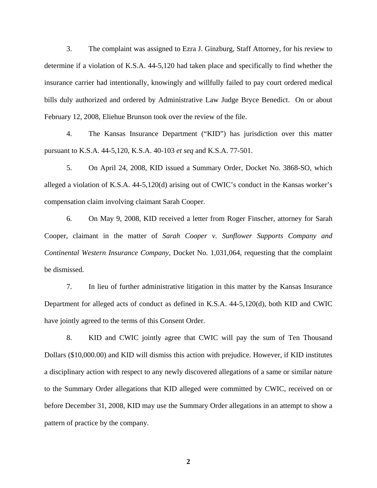3. The complaint was assigned to Ezra J. Ginzburg, Staff Attorney, for his review to determine if a violation of K.S.A. 44-5,120 had taken place and specifically to find whether the insurance carrier had intentionally, knowingly and willfully failed to pay court ordered medical bills duly authorized and ordered by Administrative Law Judge Bryce Benedict. On or about February 12, 2008, Eliehue Brunson took over the review of the file.

4. The Kansas Insurance Department ("KID") has jurisdiction over this matter pursuant to K.S.A. 44-5,120, K.S.A. 40-103 *et seq* and K.S.A. 77-501.

5. On April 24, 2008, KID issued a Summary Order, Docket No. 3868-SO, which alleged a violation of K.S.A. 44-5,120(d) arising out of CWIC's conduct in the Kansas worker's compensation claim involving claimant Sarah Cooper.

6. On May 9, 2008, KID received a letter from Roger Finscher, attorney for Sarah Cooper, claimant in the matter of *Sarah Cooper v. Sunflower Supports Company and Continental Western Insurance Company*, Docket No. 1,031,064, requesting that the complaint be dismissed.

7. In lieu of further administrative litigation in this matter by the Kansas Insurance Department for alleged acts of conduct as defined in K.S.A. 44-5,120(d), both KID and CWIC have jointly agreed to the terms of this Consent Order.

8. KID and CWIC jointly agree that CWIC will pay the sum of Ten Thousand Dollars (\$10,000.00) and KID will dismiss this action with prejudice. However, if KID institutes a disciplinary action with respect to any newly discovered allegations of a same or similar nature to the Summary Order allegations that KID alleged were committed by CWIC, received on or before December 31, 2008, KID may use the Summary Order allegations in an attempt to show a pattern of practice by the company.

**2**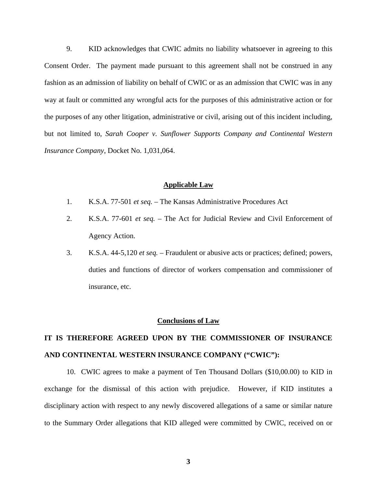9. KID acknowledges that CWIC admits no liability whatsoever in agreeing to this Consent Order. The payment made pursuant to this agreement shall not be construed in any fashion as an admission of liability on behalf of CWIC or as an admission that CWIC was in any way at fault or committed any wrongful acts for the purposes of this administrative action or for the purposes of any other litigation, administrative or civil, arising out of this incident including, but not limited to, *Sarah Cooper v. Sunflower Supports Company and Continental Western Insurance Company*, Docket No. 1,031,064.

#### **Applicable Law**

- 1. K.S.A. 77-501 *et seq.* The Kansas Administrative Procedures Act
- 2. K.S.A. 77-601 *et seq.* The Act for Judicial Review and Civil Enforcement of Agency Action.
- 3. K.S.A. 44-5,120 *et seq.* Fraudulent or abusive acts or practices; defined; powers, duties and functions of director of workers compensation and commissioner of insurance, etc.

#### **Conclusions of Law**

## **IT IS THEREFORE AGREED UPON BY THE COMMISSIONER OF INSURANCE AND CONTINENTAL WESTERN INSURANCE COMPANY ("CWIC"):**

 10. CWIC agrees to make a payment of Ten Thousand Dollars (\$10,00.00) to KID in exchange for the dismissal of this action with prejudice. However, if KID institutes a disciplinary action with respect to any newly discovered allegations of a same or similar nature to the Summary Order allegations that KID alleged were committed by CWIC, received on or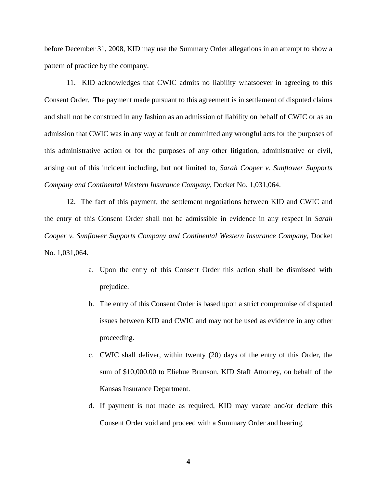before December 31, 2008, KID may use the Summary Order allegations in an attempt to show a pattern of practice by the company.

 11. KID acknowledges that CWIC admits no liability whatsoever in agreeing to this Consent Order. The payment made pursuant to this agreement is in settlement of disputed claims and shall not be construed in any fashion as an admission of liability on behalf of CWIC or as an admission that CWIC was in any way at fault or committed any wrongful acts for the purposes of this administrative action or for the purposes of any other litigation, administrative or civil, arising out of this incident including, but not limited to, *Sarah Cooper v. Sunflower Supports Company and Continental Western Insurance Company*, Docket No. 1,031,064.

 12. The fact of this payment, the settlement negotiations between KID and CWIC and the entry of this Consent Order shall not be admissible in evidence in any respect in *Sarah Cooper v. Sunflower Supports Company and Continental Western Insurance Company*, Docket No. 1,031,064.

- a. Upon the entry of this Consent Order this action shall be dismissed with prejudice.
- b. The entry of this Consent Order is based upon a strict compromise of disputed issues between KID and CWIC and may not be used as evidence in any other proceeding.
- c. CWIC shall deliver, within twenty (20) days of the entry of this Order, the sum of \$10,000.00 to Eliehue Brunson, KID Staff Attorney, on behalf of the Kansas Insurance Department.
- d. If payment is not made as required, KID may vacate and/or declare this Consent Order void and proceed with a Summary Order and hearing.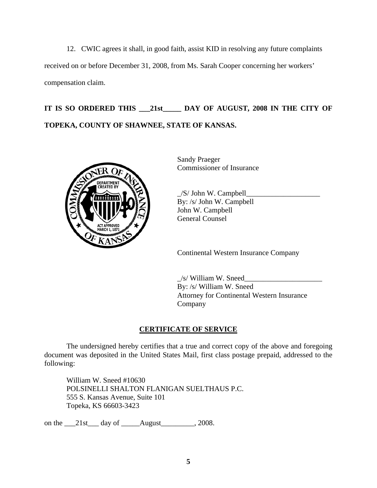12. CWIC agrees it shall, in good faith, assist KID in resolving any future complaints received on or before December 31, 2008, from Ms. Sarah Cooper concerning her workers' compensation claim.

# **IT IS SO ORDERED THIS \_\_\_21st\_\_\_\_\_ DAY OF AUGUST, 2008 IN THE CITY OF TOPEKA, COUNTY OF SHAWNEE, STATE OF KANSAS.**



Sandy Praeger Commissioner of Insurance

 $\angle$ S/ John W. Campbell By: /s/ John W. Campbell John W. Campbell General Counsel

Continental Western Insurance Company

 $/s$ / William W. Sneed By: /s/ William W. Sneed Attorney for Continental Western Insurance Company

### **CERTIFICATE OF SERVICE**

 The undersigned hereby certifies that a true and correct copy of the above and foregoing document was deposited in the United States Mail, first class postage prepaid, addressed to the following:

William W. Sneed #10630 POLSINELLI SHALTON FLANIGAN SUELTHAUS P.C. 555 S. Kansas Avenue, Suite 101 Topeka, KS 66603-3423

on the \_\_\_21st\_\_\_ day of \_\_\_\_\_August\_\_\_\_\_\_\_\_, 2008.